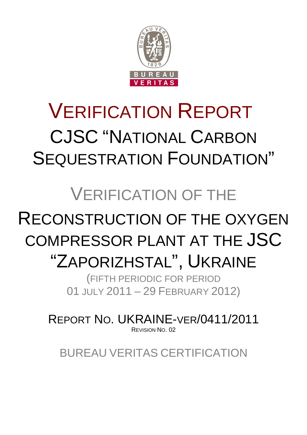

# VERIFICATION REPORT CJSC "NATIONAL CARBON SEQUESTRATION FOUNDATION"

# VERIFICATION OF THE

# RECONSTRUCTION OF THE OXYGEN COMPRESSOR PLANT AT THE JSC

# "ZAPORIZHSTAL", UKRAINE

(FIFTH PERIODIC FOR PERIOD 01 JULY 2011 – 29 FEBRUARY 2012)

REPORT NO. UKRAINE-VER/0411/2011 REVISION NO. 02

BUREAU VERITAS CERTIFICATION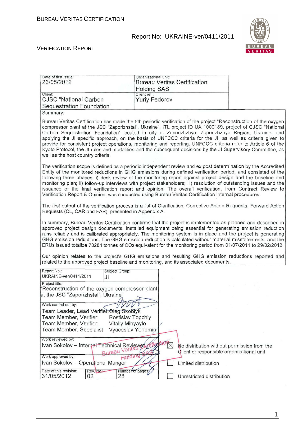

#### VERIFICATION REPORT

| Date of first issue:<br>23/05/2012                                                                                                                                                                                                                                                                                                                                                                                                                                                                                                                                                                                                                                                                                           | Organizational unit:<br><b>Bureau Veritas Certification</b><br><b>Holding SAS</b> |                                                                                          |
|------------------------------------------------------------------------------------------------------------------------------------------------------------------------------------------------------------------------------------------------------------------------------------------------------------------------------------------------------------------------------------------------------------------------------------------------------------------------------------------------------------------------------------------------------------------------------------------------------------------------------------------------------------------------------------------------------------------------------|-----------------------------------------------------------------------------------|------------------------------------------------------------------------------------------|
| Client:<br><b>CJSC</b> "National Carbon<br>Sequestration Foundation"                                                                                                                                                                                                                                                                                                                                                                                                                                                                                                                                                                                                                                                         | Client ref.:<br><b>Yuriy Fedorov</b>                                              |                                                                                          |
| Summary:                                                                                                                                                                                                                                                                                                                                                                                                                                                                                                                                                                                                                                                                                                                     |                                                                                   |                                                                                          |
| Bureau Veritas Certification has made the 5th periodic verification of the project "Reconstruction of the oxygen<br>compressor plant at the JSC "Zaporizhstal", Ukraine", ITL project ID UA 1000189, project of CJSC "National<br>Carbon Sequestration Foundation" located in city of Zaporizhzhya, Zaporizhzhya Region, Ukraine, and<br>applying the JI specific approach, on the basis of UNFCCC criteria for the JI, as well as criteria given to<br>provide for consistent project operations, monitoring and reporting. UNFCCC criteria refer to Article 6 of the<br>Kyoto Protocol, the JI rules and modalities and the subsequent decisions by the JI Supervisory Committee, as<br>well as the host country criteria. |                                                                                   |                                                                                          |
| The verification scope is defined as a periodic independent review and ex post determination by the Accredited<br>Entity of the monitored reductions in GHG emissions during defined verification period, and consisted of the<br>following three phases: i) desk review of the monitoring report against project design and the baseline and<br>monitoring plan; ii) follow-up interviews with project stakeholders; iii) resolution of outstanding issues and the<br>issuance of the final verification report and opinion. The overall verification, from Contract Review to<br>Verification Report & Opinion, was conducted using Bureau Veritas Certification internal procedures.                                      |                                                                                   |                                                                                          |
| The first output of the verification process is a list of Clarification, Corrective Action Requests, Forward Action<br>Requests (CL, CAR and FAR), presented in Appendix A.                                                                                                                                                                                                                                                                                                                                                                                                                                                                                                                                                  |                                                                                   |                                                                                          |
| In summary, Bureau Veritas Certification confirms that the project is implemented as planned and described in<br>approved project design documents. Installed equipment being essential for generating emission reduction<br>runs reliably and is calibrated appropriately. The monitoring system is in place and the project is generating<br>GHG emission reductions. The GHG emission reduction is calculated without material misstatements, and the<br>ERUs issued totalize 73284 tonnes of CO2 equivalent for the monitoring period from 01/07/2011 to 29/02/2012.                                                                                                                                                     |                                                                                   |                                                                                          |
| Our opinion relates to the project's GHG emissions and resulting GHG emission reductions reported and<br>related to the approved project baseline and monitoring, and its associated documents.                                                                                                                                                                                                                                                                                                                                                                                                                                                                                                                              |                                                                                   |                                                                                          |
| Report No.:<br>Subject Group:<br>UKRAINE-ver/0411/2011<br>JI                                                                                                                                                                                                                                                                                                                                                                                                                                                                                                                                                                                                                                                                 |                                                                                   |                                                                                          |
| Project title:<br>'Reconstruction of the oxygen compressor plant<br>at the JSC "Zaporizhstal", Ukraine"                                                                                                                                                                                                                                                                                                                                                                                                                                                                                                                                                                                                                      |                                                                                   |                                                                                          |
| Work carried out by:<br>VVVV V<br>Team Leader, Lead Verifier: Oleg Skoblyk                                                                                                                                                                                                                                                                                                                                                                                                                                                                                                                                                                                                                                                   |                                                                                   |                                                                                          |
| Team Member, Verifier:<br>Rostislav Topchiy<br>Team Member, Verifier:<br>Vitaliy Minyaylo                                                                                                                                                                                                                                                                                                                                                                                                                                                                                                                                                                                                                                    |                                                                                   |                                                                                          |
| Team Member, Specialist                                                                                                                                                                                                                                                                                                                                                                                                                                                                                                                                                                                                                                                                                                      | Vyaceslav Yeriomin                                                                |                                                                                          |
| Work reviewed by:<br>Ivan Sokolov - Internal Technical Reviewers of<br><b>Bureau Verit</b><br>Holding<br>Work approved by:                                                                                                                                                                                                                                                                                                                                                                                                                                                                                                                                                                                                   |                                                                                   | No distribution without permission from the<br>Client or responsible organizational unit |
| Ivan Sokolov - Operational Manger                                                                                                                                                                                                                                                                                                                                                                                                                                                                                                                                                                                                                                                                                            | Limited distribution                                                              |                                                                                          |
| Date of this revision:<br>Rev. No.:<br>31/05/2012<br>28<br>02                                                                                                                                                                                                                                                                                                                                                                                                                                                                                                                                                                                                                                                                | Number of pages;<br>Unrestricted distribution                                     |                                                                                          |

1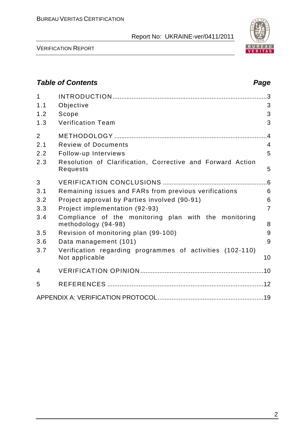

VERIFICATION REPORT

# **Table of Contents Page 2014** 1 INTRODUCTION .........................................................................................3 1.1 Objective 3 1.2 Scope 3 1.3 Verification Team 3 2 METHODOLOGY ........................................................................................4 2.1 Review of Documents 4 2.2 Follow-up Interviews 5 2.3 Resolution of Clarification, Corrective and Forward Action Requests 5 3 VERIFICATION CONCLUSIONS ............................................................6 3.1 Remaining issues and FARs from previous verifications 6 3.2 Project approval by Parties involved (90-91) 6 3.3 Project implementation (92-93) 7 3.4 Compliance of the monitoring plan with the monitoring methodology (94-98) 8 3.5 Revision of monitoring plan (99-100) 9 3.6 Data management (101) 9 3.7 Verification regarding programmes of activities (102-110) Not applicable 10 4 VERIFICATION OPINION .......................................................................10 5 REFERENCES ..........................................................................................12 APPENDIX A: VERIFICATION PROTOCOL.............................................................19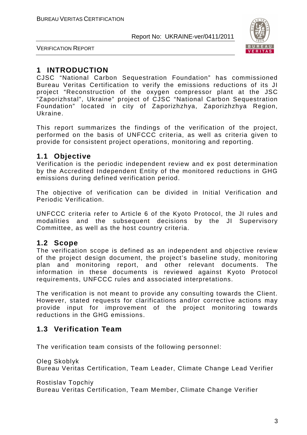

VERIFICATION REPORT

# **1 INTRODUCTION**

CJSC "National Carbon Sequestration Foundation" has commissioned Bureau Veritas Certification to verify the emissions reductions of its JI project "Reconstruction of the oxygen compressor plant at the JSC "Zaporizhstal", Ukraine" project of CJSC "National Carbon Sequestration Foundation" located in city of Zaporizhzhya, Zaporizhzhya Region, Ukraine.

This report summarizes the findings of the verification of the project, performed on the basis of UNFCCC criteria, as well as criteria given to provide for consistent project operations, monitoring and reporting.

#### **1.1 Objective**

Verification is the periodic independent review and ex post determination by the Accredited Independent Entity of the monitored reductions in GHG emissions during defined verification period.

The objective of verification can be divided in Initial Verification and Periodic Verification.

UNFCCC criteria refer to Article 6 of the Kyoto Protocol, the JI rules and modalities and the subsequent decisions by the JI Supervisory Committee, as well as the host country criteria.

#### **1.2 Scope**

The verification scope is defined as an independent and objective review of the project design document, the project's baseline study, monitoring plan and monitoring report, and other relevant documents. The information in these documents is reviewed against Kyoto Protocol requirements, UNFCCC rules and associated interpretations.

The verification is not meant to provide any consulting towards the Client. However, stated requests for clarifications and/or corrective actions may provide input for improvement of the project monitoring towards reductions in the GHG emissions.

# **1.3 Verification Team**

The verification team consists of the following personnel:

Oleg Skoblyk Bureau Veritas Certification, Team Leader, Climate Change Lead Verifier

Rostislav Topchiy

Bureau Veritas Certification, Team Member, Climate Change Verifier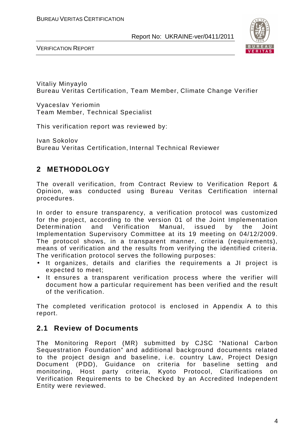



Vitaliy Minyaylo Bureau Veritas Certification, Team Member, Climate Change Verifier

Vyaceslav Yeriomin Team Member, Technical Specialist

This verification report was reviewed by:

Ivan Sokolov Bureau Veritas Certification, Internal Technical Reviewer

# **2 METHODOLOGY**

The overall verification, from Contract Review to Verification Report & Opinion, was conducted using Bureau Veritas Certification internal procedures.

In order to ensure transparency, a verification protocol was customized for the project, according to the version 01 of the Joint Implementation Determination and Verification Manual, issued by the Joint Implementation Supervisory Committee at its 19 meeting on 04/12/2009. The protocol shows, in a transparent manner, criteria (requirements), means of verification and the results from verifying the identified criteria. The verification protocol serves the following purposes:

- It organizes, details and clarifies the requirements a JI project is expected to meet;
- It ensures a transparent verification process where the verifier will document how a particular requirement has been verified and the result of the verification.

The completed verification protocol is enclosed in Appendix A to this report.

# **2.1 Review of Documents**

The Monitoring Report (MR) submitted by CJSC "National Carbon Sequestration Foundation" and additional background documents related to the project design and baseline, i.e. country Law, Project Design Document (PDD), Guidance on criteria for baseline setting and monitoring, Host party criteria, Kyoto Protocol, Clarifications on Verification Requirements to be Checked by an Accredited Independent Entity were reviewed.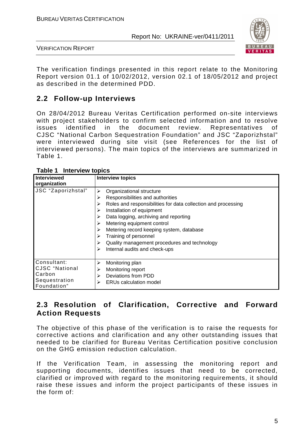

VERIFICATION REPORT

The verification findings presented in this report relate to the Monitoring Report version 01.1 of 10/02/2012, version 02.1 of 18/05/2012 and project as described in the determined PDD.

# **2.2 Follow-up Interviews**

On 28/04/2012 Bureau Veritas Certification performed on-site interviews with project stakeholders to confirm selected information and to resolve issues identified in the document review. Representatives of CJSC "National Carbon Sequestration Foundation" and JSC "Zaporizhstal" were interviewed during site visit (see References for the list of interviewed persons). The main topics of the interviews are summarized in Table 1.

| <b>Interviewed</b><br>organization                                             | <b>Interview topics</b>                                                                                                                                                                                                                                                                                                                                                                                                         |
|--------------------------------------------------------------------------------|---------------------------------------------------------------------------------------------------------------------------------------------------------------------------------------------------------------------------------------------------------------------------------------------------------------------------------------------------------------------------------------------------------------------------------|
| JSC "Zaporizhstal"                                                             | Organizational structure<br>⋗<br>Responsibilities and authorities<br>⋗<br>Roles and responsibilities for data collection and processing<br>⋗<br>Installation of equipment<br>Data logging, archiving and reporting<br>Metering equipment control<br>➤<br>Metering record keeping system, database<br>➤<br>Training of personnel<br>➤<br>Quality management procedures and technology<br>⋗<br>Internal audits and check-ups<br>⋗ |
| Consultant:<br><b>CJSC</b> "National<br>Carbon<br>Sequestration<br>Foundation" | Monitoring plan<br>≻<br>Monitoring report<br>⋗<br>Deviations from PDD<br>↘<br><b>ERUs calculation model</b><br>➤                                                                                                                                                                                                                                                                                                                |

**Table 1 Interview topics** 

# **2.3 Resolution of Clarification, Corrective and Forward Action Requests**

The objective of this phase of the verification is to raise the requests for corrective actions and clarification and any other outstanding issues that needed to be clarified for Bureau Veritas Certification positive conclusion on the GHG emission reduction calculation.

If the Verification Team, in assessing the monitoring report and supporting documents, identifies issues that need to be corrected, clarified or improved with regard to the monitoring requirements, it should raise these issues and inform the project participants of these issues in the form of: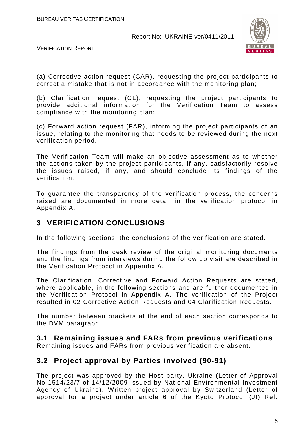

VERIFICATION REPORT

(a) Corrective action request (CAR), requesting the project participants to correct a mistake that is not in accordance with the monitoring plan;

(b) Clarification request (CL), requesting the project participants to provide additional information for the Verification Team to assess compliance with the monitoring plan;

(c) Forward action request (FAR), informing the project participants of an issue, relating to the monitoring that needs to be reviewed during the next verification period.

The Verification Team will make an objective assessment as to whether the actions taken by the project participants, if any, satisfactorily resolve the issues raised, if any, and should conclude its findings of the verification.

To guarantee the transparency of the verification process, the concerns raised are documented in more detail in the verification protocol in Appendix A.

# **3 VERIFICATION CONCLUSIONS**

In the following sections, the conclusions of the verification are stated.

The findings from the desk review of the original monitoring documents and the findings from interviews during the follow up visit are described in the Verification Protocol in Appendix A.

The Clarification, Corrective and Forward Action Requests are stated, where applicable, in the following sections and are further documented in the Verification Protocol in Appendix A. The verification of the Project resulted in 02 Corrective Action Requests and 04 Clarification Requests.

The number between brackets at the end of each section corresponds to the DVM paragraph.

# **3.1 Remaining issues and FARs from previous verifications**

Remaining issues and FARs from previous verification are absent.

# **3.2 Project approval by Parties involved (90-91)**

The project was approved by the Host party, Ukraine (Letter of Approval No 1514/23/7 of 14/12/2009 issued by National Environmental Investment Agency of Ukraine). Written project approval by Switzerland (Letter of approval for a project under article 6 of the Kyoto Protocol (JI) Ref.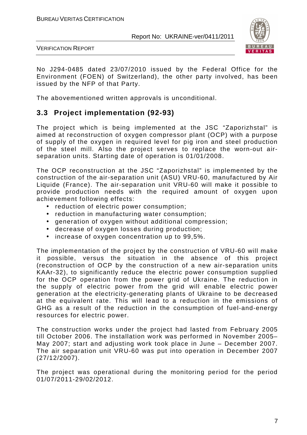

VERIFICATION REPORT

No J294-0485 dated 23/07/2010 issued by the Federal Office for the Environment (FOEN) of Switzerland), the other party involved, has been issued by the NFP of that Party.

The abovementioned written approvals is unconditional.

# **3.3 Project implementation (92-93)**

The project which is being implemented at the JSC "Zaporizhstal" is aimed at reconstruction of oxygen compressor plant (OCP) with a purpose of supply of the oxygen in required level for pig iron and steel production of the steel mill. Also the project serves to replace the worn-out airseparation units. Starting date of operation is 01/01/2008.

The OCP reconstruction at the JSC "Zaporizhstal" is implemented by the construction of the air-separation unit (ASU) VRU-60, manufactured by Air Liquide (France). The air-separation unit VRU-60 will make it possible to provide production needs with the required amount of oxygen upon achievement following effects:

- reduction of electric power consumption;
- reduction in manufacturing water consumption;
- generation of oxygen without additional compression;
- decrease of oxygen losses during production;
- increase of oxygen concentration up to 99,5%.

The implementation of the project by the construction of VRU-60 will make it possible, versus the situation in the absence of this project (reconstruction of OCP by the construction of a new air-separation units KAAr-32), to significantly reduce the electric power consumption supplied for the OCP operation from the power grid of Ukraine. The reduction in the supply of electric power from the grid will enable electric power generation at the electricity-generating plants of Ukraine to be decreased at the equivalent rate. This will lead to a reduction in the emissions of GHG as a result of the reduction in the consumption of fuel-and-energy resources for electric power.

The construction works under the project had lasted from February 2005 till October 2006. The installation work was performed in November 2005– May 2007; start and adjusting work took place in June – December 2007. The air separation unit VRU-60 was put into operation in December 2007 (27/12/2007).

The project was operational during the monitoring period for the period 01/07/2011-29/02/2012.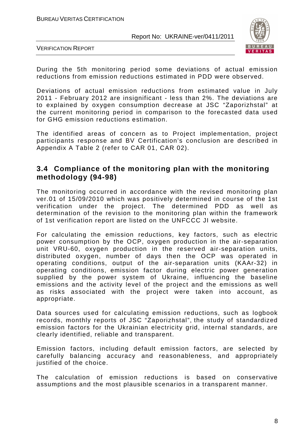

VERIFICATION REPORT

During the 5th monitoring period some deviations of actual emission reductions from emission reductions estimated in PDD were observed.

Deviations of actual emission reductions from estimated value in July 2011 - February 2012 are insignificant - less than 2%. The deviations are to explained by oxygen consumption decrease at JSC "Zaporizhstal" at the current monitoring period in comparison to the forecasted data used for GHG emission reductions estimation.

The identified areas of concern as to Project implementation, project participants response and BV Certification's conclusion are described in Appendix A Table 2 (refer to CAR 01, CAR 02).

#### **3.4 Compliance of the monitoring plan with the monitoring methodology (94-98)**

The monitoring occurred in accordance with the revised monitoring plan ver.01 of 15/09/2010 which was positively determined in course of the 1st verification under the project. The determined PDD as well as determination of the revision to the monitoring plan within the framework of 1st verification report are listed on the UNFCCC JI website.

For calculating the emission reductions, key factors, such as electric power consumption by the OCP, oxygen production in the air-separation unit VRU-60, oxygen production in the reserved air-separation units, distributed oxygen, number of days then the OCP was operated in operating conditions, output of the air-separation units (KAAr-32) in operating conditions, emission factor during electric power generation supplied by the power system of Ukraine, influencing the baseline emissions and the activity level of the project and the emissions as well as risks associated with the project were taken into account, as appropriate.

Data sources used for calculating emission reductions, such as logbook records, monthly reports of JSC "Zaporizhstal", the study of standardized emission factors for the Ukrainian electricity grid, internal standards, are clearly identified, reliable and transparent.

Emission factors, including default emission factors, are selected by carefully balancing accuracy and reasonableness, and appropriately justified of the choice.

The calculation of emission reductions is based on conservative assumptions and the most plausible scenarios in a transparent manner.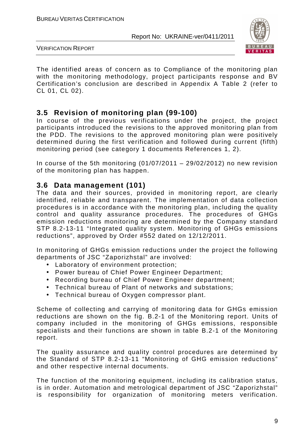

VERIFICATION REPORT

The identified areas of concern as to Compliance of the monitoring plan with the monitoring methodology, project participants response and BV Certification's conclusion are described in Appendix A Table 2 (refer to CL 01, CL 02).

# **3.5 Revision of monitoring plan (99-100)**

In course of the previous verifications under the project, the project participants introduced the revisions to the approved monitoring plan from the PDD. The revisions to the approved monitoring plan were positively determined during the first verification and followed during current (fifth) monitoring period (see category 1 documents References 1, 2).

In course of the 5th monitoring  $(01/07/2011 - 29/02/2012)$  no new revision of the monitoring plan has happen.

#### **3.6 Data management (101)**

The data and their sources, provided in monitoring report, are clearly identified, reliable and transparent. The implementation of data collection procedures is in accordance with the monitoring plan, including the quality control and quality assurance procedures. The procedures of GHGs emission reductions monitoring are determined by the Company standard STP 8.2-13-11 "Integrated quality system. Monitoring of GHGs emissions reductions", approved by Order #552 dated on 12/12/2011.

In monitoring of GHGs emission reductions under the project the following departments of JSC "Zaporizhstal" are involved:

- Laboratory of environment protection;
- Power bureau of Chief Power Engineer Department;
- Recording bureau of Chief Power Engineer department;
- Technical bureau of Plant of networks and substations;
- Technical bureau of Oxygen compressor plant.

Scheme of collecting and carrying of monitoring data for GHGs emission reductions are shown on the fig. B.2-1 of the Monitoring report. Units of company included in the monitoring of GHGs emissions, responsible specialists and their functions are shown in table B.2-1 of the Monitoring report.

The quality assurance and quality control procedures are determined by the Standard of STP 8.2-13-11 "Monitoring of GHG emission reductions" and other respective internal documents.

The function of the monitoring equipment, including its calibration status, is in order. Automation and metrological department of JSC "Zaporizhstal" is responsibility for organization of monitoring meters verification.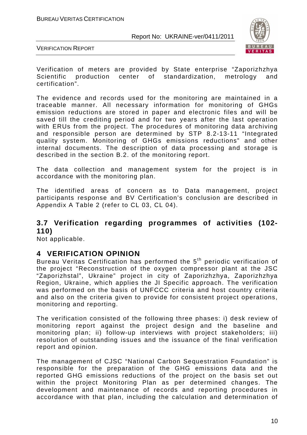

VERIFICATION REPORT

Verification of meters are provided by State enterprise "Zaporizhzhya Scientific production center of standardization, metrology and certification".

The evidence and records used for the monitoring are maintained in a traceable manner. All necessary information for monitoring of GHGs emission reductions are stored in paper and electronic files and will be saved till the crediting period and for two years after the last operation with ERUs from the project. The procedures of monitoring data archiving and responsible person are determined by STP 8.2-13-11 "Integrated quality system. Monitoring of GHGs emissions reductions" and other internal documents. The description of data processing and storage is described in the section B.2. of the monitoring report.

The data collection and management system for the project is in accordance with the monitoring plan.

The identified areas of concern as to Data management, project participants response and BV Certification's conclusion are described in Appendix A Table 2 (refer to CL 03, CL 04).

#### **3.7 Verification regarding programmes of activities (102- 110)**

Not applicable.

# **4 VERIFICATION OPINION**

Bureau Veritas Certification has performed the 5<sup>th</sup> periodic verification of the project "Reconstruction of the oxygen compressor plant at the JSC "Zaporizhstal", Ukraine" project in city of Zaporizhzhya, Zaporizhzhya Region, Ukraine, which applies the JI Specific approach. The verification was performed on the basis of UNFCCC criteria and host country criteria and also on the criteria given to provide for consistent project operations, monitoring and reporting.

The verification consisted of the following three phases: i) desk review of monitoring report against the project design and the baseline and monitoring plan; ii) follow-up interviews with project stakeholders; iii) resolution of outstanding issues and the issuance of the final verification report and opinion.

The management of CJSC "National Carbon Sequestration Foundation" is responsible for the preparation of the GHG emissions data and the reported GHG emissions reductions of the project on the basis set out within the project Monitoring Plan as per determined changes. The development and maintenance of records and reporting procedures in accordance with that plan, including the calculation and determination of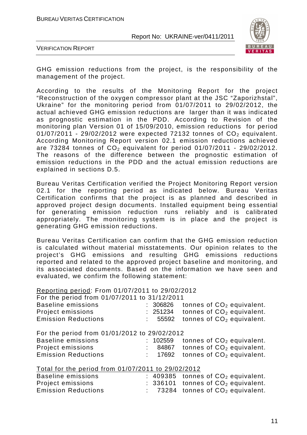

VERIFICATION REPORT

GHG emission reductions from the project, is the responsibility of the management of the project.

According to the results of the Monitoring Report for the project "Reconstruction of the oxygen compressor plant at the JSC "Zaporizhstal", Ukraine" for the monitoring period from 01/07/2011 to 29/02/2012, the actual achieved GHG emission reductions are larger than it was indicated as prognostic estimation in the PDD. According to Revision of the monitoring plan Version 01 of 15/09/2010, emission reductions for period  $01/07/2011$  - 29/02/2012 were expected 72132 tonnes of  $CO<sub>2</sub>$  equivalent. According Monitoring Report version 02.1 emission reductions achieved are 73284 tonnes of  $CO<sub>2</sub>$  equivalent for period 01/07/2011 - 29/02/2012. The reasons of the difference between the prognostic estimation of emission reductions in the PDD and the actual emission reductions are explained in sections D.5.

Bureau Veritas Certification verified the Project Monitoring Report version 02.1 for the reporting period as indicated below. Bureau Veritas Certification confirms that the project is as planned and described in approved project design documents. Installed equipment being essential for generating emission reduction runs reliably and is calibrated appropriately. The monitoring system is in place and the project is generating GHG emission reductions.

Bureau Veritas Certification can confirm that the GHG emission reduction is calculated without material misstatements. Our opinion relates to the project's GHG emissions and resulting GHG emissions reductions reported and related to the approved project baseline and monitoring, and its associated documents. Based on the information we have seen and evaluated, we confirm the following statement:

Reporting period: From 01/07/2011 to 29/02/2012

|  | For the period from 01/07/2011 to 31/12/2011 |
|--|----------------------------------------------|

| <b>Baseline emissions</b><br>Project emissions<br><b>Emission Reductions</b> |  | : 306826<br>: 251234<br>: 55592 | tonnes of $CO2$ equivalent.<br>tonnes of $CO2$ equivalent.<br>tonnes of $CO2$ equivalent. |  |  |
|------------------------------------------------------------------------------|--|---------------------------------|-------------------------------------------------------------------------------------------|--|--|
| For the period from 01/01/2012 to 29/02/2012<br><b>Baseline emissions</b>    |  | : 102559                        | tonnes of $CO2$ equivalent.                                                               |  |  |
| Project emissions                                                            |  |                                 | : 84867 tonnes of $CO2$ equivalent.                                                       |  |  |
| <b>Emission Reductions</b>                                                   |  | : 17692                         | tonnes of $CO2$ equivalent.                                                               |  |  |
| Total for the period from 01/07/2011 to 29/02/2012                           |  |                                 |                                                                                           |  |  |
| <b>Baseline emissions</b>                                                    |  |                                 | : 409385 tonnes of $CO2$ equivalent.                                                      |  |  |
| Project emissions                                                            |  |                                 | : 336101 tonnes of $CO2$ equivalent.                                                      |  |  |
| <b>Emission Reductions</b>                                                   |  |                                 | $\therefore$ 73284 tonnes of $CO2$ equivalent.                                            |  |  |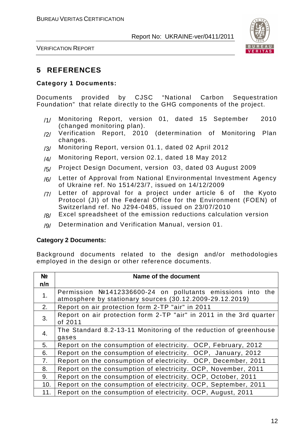

VERIFICATION REPORT

# **5 REFERENCES**

#### **Category 1 Documents:**

Documents provided by CJSC "National Carbon Sequestration Foundation" that relate directly to the GHG components of the project.

- /1/ Monitoring Report, version 01, dated 15 September 2010 (changed monitoring plan).
- /2/ Verification Report, 2010 (determination of Monitoring Plan changes.
- /3/ Monitoring Report, version 01.1, dated 02 April 2012
- /4/ Monitoring Report, version 02.1, dated 18 May 2012
- /5/ Project Design Document, version 03, dated 03 August 2009
- /6/ Letter of Approval from National Environmental Investment Agency of Ukraine ref. No 1514/23/7, issued on 14/12/2009
- /7/ Letter of approval for a project under article 6 of the Kyoto Protocol (JI) of the Federal Office for the Environment (FOEN) of Switzerland ref. No J294-0485, issued on 23/07/2010
- /8/ Excel spreadsheet of the emission reductions calculation version
- /9/ Determination and Verification Manual, version 01.

#### **Category 2 Documents:**

Background documents related to the design and/or methodologies employed in the design or other reference documents.

| N <sub>2</sub> | Name of the document                                                                                                   |
|----------------|------------------------------------------------------------------------------------------------------------------------|
| п/п            |                                                                                                                        |
| 1.             | Permission №1412336600-24 on pollutants emissions into the<br>atmosphere by stationary sources (30.12.2009-29.12.2019) |
| 2.             | Report on air protection form 2-TP "air" in 2011                                                                       |
| 3.             | Report on air protection form 2-TP "air" in 2011 in the 3rd quarter<br>of 2011                                         |
| 4.             | The Standard 8.2-13-11 Monitoring of the reduction of greenhouse<br>gases                                              |
| 5.             | Report on the consumption of electricity. OCP, February, 2012                                                          |
| 6.             | Report on the consumption of electricity. OCP, January, 2012                                                           |
| 7.             | Report on the consumption of electricity. OCP, December, 2011                                                          |
| 8.             | Report on the consumption of electricity. OCP, November, 2011                                                          |
| 9.             | Report on the consumption of electricity. OCP, October, 2011                                                           |
| 10.            | Report on the consumption of electricity. OCP, September, 2011                                                         |
| 11.            | Report on the consumption of electricity. OCP, August, 2011                                                            |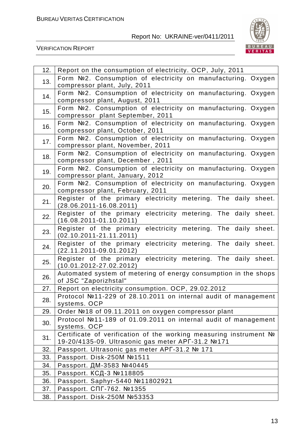

| 12. | Report on the consumption of electricity. OCP, July, 2011                                        |
|-----|--------------------------------------------------------------------------------------------------|
| 13. | Form Nº2. Consumption of electricity on manufacturing. Oxygen                                    |
|     | compressor plant, July, 2011                                                                     |
| 14. | Form Nº2. Consumption of electricity on manufacturing. Oxygen                                    |
|     | compressor plant, August, 2011                                                                   |
| 15. | Form №2. Consumption of electricity on manufacturing. Oxygen                                     |
|     | compressor plant September, 2011                                                                 |
| 16. | Form Nº2. Consumption of electricity on manufacturing. Oxygen                                    |
|     | compressor plant, October, 2011                                                                  |
| 17. | Form №2. Consumption of electricity on manufacturing. Oxygen                                     |
|     | compressor plant, November, 2011                                                                 |
| 18. | Form №2. Consumption of electricity on manufacturing. Oxygen<br>compressor plant, December, 2011 |
|     | Form Nº2. Consumption of electricity on manufacturing. Oxygen                                    |
| 19. | compressor plant, January, 2012                                                                  |
|     | Form Nº2. Consumption of electricity on manufacturing. Oxygen                                    |
| 20. | compressor plant, February, 2011                                                                 |
|     | Register of the primary electricity metering. The daily sheet.                                   |
| 21. | $(28.06.2011 - 16.08.2011)$                                                                      |
| 22. | Register of the primary electricity metering. The daily sheet.                                   |
|     | $(16.08.2011 - 01.10.2011)$                                                                      |
| 23. | Register of the primary electricity metering. The daily sheet.                                   |
|     | $(02.10.2011 - 21.11.2011)$                                                                      |
| 24. | Register of the primary<br>electricity metering. The daily sheet.                                |
|     | $(22.11.2011-09.01.2012)$                                                                        |
| 25. | Register of the primary<br>electricity metering. The daily sheet.<br>$(10.01.2012 - 27.02.2012)$ |
|     | Automated system of metering of energy consumption in the shops                                  |
| 26. | of JSC "Zaporizhstal"                                                                            |
| 27. | Report on electricity consumption. OCP, 29.02.2012                                               |
|     | Protocol №11-229 of 28.10.2011 on internal audit of management                                   |
| 28. | systems. OCP                                                                                     |
| 29. | Order №18 of 09.11.2011 on oxygen compressor plant                                               |
| 30. | Protocol №11-189 of 01.09.2011 on internal audit of management                                   |
|     | systems. OCP                                                                                     |
| 31. | Certificate of verification of the working measuring instrument No                               |
|     | 19-20/4135-09. Ultrasonic gas meter APF-31.2 №171                                                |
| 32. | Passport. Ultrasonic gas meter APF-31.2 № 171                                                    |
| 33. | Passport. Disk-250M Nº1511                                                                       |
| 34. | Passport. ДМ-3583 №40445                                                                         |
| 35. | Passport. КСД-3 №118805                                                                          |
| 36. | Passport. Saphyr-5440 Nº11802921                                                                 |
| 37. | Passport. CПГ-762. №1355                                                                         |
| 38. | Passport. Disk-250M Nº53353                                                                      |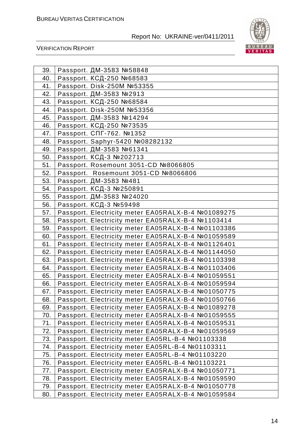

| 39. | Passport. ДМ-3583 №58848                           |
|-----|----------------------------------------------------|
| 40. | Passport. КСД-250 №68583                           |
| 41. | Passport. Disk-250M Nº53355                        |
| 42. | Passport. ДМ-3583 №2913                            |
| 43. | Passport. КСД-250 №68584                           |
| 44. | Passport. Disk-250M Nº53356                        |
| 45. | Passport. ДМ-3583 №14294                           |
| 46. | Passport. КСД-250 №73535                           |
| 47. | Passport. CΠΓ-762. №1352                           |
| 48. | Passport. Saphyr-5420 Nº08282132                   |
| 49. | Passport. ДМ-3583 №61341                           |
| 50. | Passport. КСД-3 №202713                            |
| 51. | Passport. Rosemount 3051-CD №8066805               |
| 52. | Passport. Rosemount 3051-CD №8066806               |
| 53. | Passport. ДМ-3583 №481                             |
| 54. | Passport. КСД-3 №250891                            |
| 55. | Passport. ДМ-3583 №24020                           |
| 56. | Passport. КСД-3 №59498                             |
| 57. | Passport. Electricity meter EA05RALX-B-4 №01089275 |
| 58. | Passport. Electricity meter EA05RALX-B-4 №1103414  |
| 59. | Passport. Electricity meter EA05RALX-B-4 №01103386 |
| 60. | Passport. Electricity meter EA05RALX-B-4 №01059589 |
| 61. | Passport. Electricity meter EA05RALX-B-4 №01126401 |
| 62. | Passport. Electricity meter EA05RALX-B-4 №01144050 |
| 63. | Passport. Electricity meter EA05RALX-B-4 №01103398 |
| 64. | Passport. Electricity meter EA05RALX-B-4 №01103406 |
| 65. | Passport. Electricity meter EA05RALX-B-4 №01059551 |
| 66. | Passport. Electricity meter EA05RALX-B-4 №01059594 |
| 67. | Passport. Electricity meter EA05RALX-B-4 №01050775 |
| 68. | Passport. Electricity meter EA05RALX-B-4 №01050766 |
| 69. | Passport. Electricity meter EA05RALX-B-4 №01089278 |
| 70. | Passport. Electricity meter EA05RALX-B-4 №01059555 |
| 71. | Passport. Electricity meter EA05RALX-B-4 №01059531 |
| 72. | Passport. Electricity meter EA05RALX-B-4 №01059569 |
| 73. | Passport. Electricity meter EA05RL-B-4 №01103338   |
| 74. | Passport. Electricity meter EA05RL-B-4 №01103311   |
| 75. | Passport. Electricity meter EA05RL-B-4 №01103220   |
| 76. | Passport. Electricity meter EA05RL-B-4 №01103221   |
| 77. | Passport. Electricity meter EA05RALX-B-4 №01050771 |
| 78. | Passport. Electricity meter EA05RALX-B-4 №01059590 |
| 79. | Passport. Electricity meter EA05RALX-B-4 №01050778 |
| 80. | Passport. Electricity meter EA05RALX-B-4 №01059584 |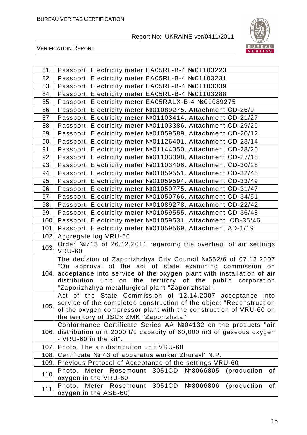

| 81.  | Passport. Electricity meter EA05RL-B-4 №01103223                                                                                                                                                                                                                                                                                 |
|------|----------------------------------------------------------------------------------------------------------------------------------------------------------------------------------------------------------------------------------------------------------------------------------------------------------------------------------|
| 82.  | Passport. Electricity meter EA05RL-B-4 №01103231                                                                                                                                                                                                                                                                                 |
| 83.  | Passport. Electricity meter EA05RL-B-4 №01103339                                                                                                                                                                                                                                                                                 |
| 84.  | Passport. Electricity meter EA05RL-B-4 №01103288                                                                                                                                                                                                                                                                                 |
| 85.  | Passport. Electricity meter EA05RALX-B-4 №01089275                                                                                                                                                                                                                                                                               |
| 86.  | Passport. Electricity meter №01089275. Attachment CD-26/9                                                                                                                                                                                                                                                                        |
| 87.  | Passport. Electricity meter №01103414. Attachment CD-21/27                                                                                                                                                                                                                                                                       |
| 88.  | Passport. Electricity meter №01103386. Attachment CD-29/29                                                                                                                                                                                                                                                                       |
| 89.  | Passport. Electricity meter №01059589. Attachment CD-20/12                                                                                                                                                                                                                                                                       |
| 90.  | Passport. Electricity meter №01126401. Attachment CD-23/14                                                                                                                                                                                                                                                                       |
| 91.  | Passport. Electricity meter №01144050. Attachment CD-28/20                                                                                                                                                                                                                                                                       |
| 92.  | Passport. Electricity meter №01103398. Attachment CD-27/18                                                                                                                                                                                                                                                                       |
| 93.  | Passport. Electricity meter №01103406. Attachment CD-30/28                                                                                                                                                                                                                                                                       |
| 94.  | Passport. Electricity meter №01059551. Attachment CD-32/45                                                                                                                                                                                                                                                                       |
| 95.  | Passport. Electricity meter №01059594. Attachment CD-33/49                                                                                                                                                                                                                                                                       |
| 96.  | Passport. Electricity meter №01050775. Attachment CD-31/47                                                                                                                                                                                                                                                                       |
| 97.  | Passport. Electricity meter №01050766. Attachment CD-34/51                                                                                                                                                                                                                                                                       |
| 98.  | Passport. Electricity meter №01089278. Attachment CD-22/42                                                                                                                                                                                                                                                                       |
| 99.  | Passport. Electricity meter №01059555. Attachment CD-36/48                                                                                                                                                                                                                                                                       |
| 100. | Passport. Electricity meter №01059531. Attachment CD-35/46                                                                                                                                                                                                                                                                       |
|      | 101. Passport. Electricity meter №01059569. Attachment AD-1/19                                                                                                                                                                                                                                                                   |
|      | 102. Aggregate log VRU-60                                                                                                                                                                                                                                                                                                        |
| 103. | Order №713 of 26.12.2011 regarding the overhaul of air settings<br><b>VRU-60</b>                                                                                                                                                                                                                                                 |
| 104. | The decision of Zaporizhzhya City Council №552/6 of 07.12.2007<br>"On approval of the act of state examining commission<br>on<br>acceptance into service of the oxygen plant with installation of air<br>unit on<br>the territory of the public corporation<br>distribution<br>"Zaporizhzhya metallurgical plant "Zaporizhstal". |
| 105. | Act of the State Commission of 12.14.2007 acceptance into<br>service of the completed construction of the object "Reconstruction<br>of the oxygen compressor plant with the construction of VRU-60 on<br>the territory of JSC« ZMK "Zaporizhstal"                                                                                |
| 106. | Conformance Certificate Series AA №04132 on the products "air<br>distribution unit 2000 t/d capacity of 60,000 m3 of gaseous oxygen<br>- VRU-60 in the kit".                                                                                                                                                                     |
|      | 107. Photo. The air distribution unit VRU-60                                                                                                                                                                                                                                                                                     |
| 108. | Certificate № 43 of apparatus worker Zhuravl' N.P.                                                                                                                                                                                                                                                                               |
| 109. | Previous Protocol of Acceptance of the settings VRU-60                                                                                                                                                                                                                                                                           |
| 110. | Meter Rosemount 3051CD<br>Nº8066805<br>of<br>Photo.<br>(production<br>oxygen in the VRU-60                                                                                                                                                                                                                                       |
| 111. | Photo.<br>Meter Rosemount<br>3051CD<br>Nº8066806<br>(production<br>of<br>oxygen in the ASE-60)                                                                                                                                                                                                                                   |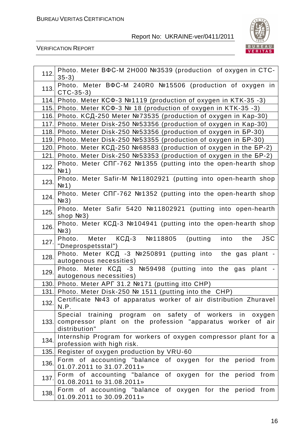

| 112. | Photo. Meter BΦC-M 2H000 №3539 (production of oxygen in CTC-<br>$35-3)$                                                                    |
|------|--------------------------------------------------------------------------------------------------------------------------------------------|
| 113. | Photo. Meter BΦC-M 240R0 №15506 (production of oxygen in<br>$CTC-35-3)$                                                                    |
|      | 114. Photo. Meter KCΦ-3 №1119 (production of oxygen in KTK-35 -3)                                                                          |
|      | 115. Photo. Meter KCΦ-3 № 18 (production of oxygen in KTK-35 -3)                                                                           |
| 116. | Photo. КСД-250 Meter №73535 (production of oxygen in Kap-30)                                                                               |
|      | 117. Photo. Meter Disk-250 Nº53356 (production of oxygen in Kap-30)                                                                        |
|      | 118. Photo. Meter Disk-250 №53356 (production of oxygen in 5P-30)                                                                          |
|      | 119. Photo. Meter Disk-250 №53355 (production of oxygen in 5P-30)                                                                          |
| 120. | Photo. Meter КСД-250 №68583 (production of oxygen in the БР-2)                                                                             |
| 121. | Photo. Meter Disk-250 №53353 (production of oxygen in the 5P-2)                                                                            |
| 122. | Photo. Meter CΠΓ-762 №1355 (putting into the open-hearth shop<br>N <sup>o</sup> 1)                                                         |
| 123. | Photo. Meter Safir-M №11802921 (putting into open-hearth shop<br>N <sup>0</sup> 1                                                          |
| 124. | Photo. Meter CΠΓ-762 №1352 (putting into the open-hearth shop<br>$N2$ 3)                                                                   |
| 125. | Photo. Meter Safir 5420 №11802921 (putting into open-hearth<br>shop №3)                                                                    |
| 126. | Photo. Meter КСД-3 №104941 (putting into the open-hearth shop<br>$N2$ 3)                                                                   |
| 127. | Photo. Meter КСД-3 №118805 (putting into the<br><b>JSC</b><br>"Dneprospetsstal")                                                           |
| 128. | Photo. Meter KCA -3 №250891 (putting into the gas plant -<br>autogenous necessities)                                                       |
| 129. | Photo. Meter KCД -3 №59498 (putting into the gas plant -<br>autogenous necessities)                                                        |
|      | 130. Photo. Meter APF 31.2 №171 (putting itto CHP)                                                                                         |
|      | 131. Photo. Meter Disk-250 № 1511 (putting into the CHP)                                                                                   |
| 132. | Certificate №43 of apparatus worker of air distribution Zhuravel<br>N.P.                                                                   |
| 133. | Special training program on safety of workers<br>in oxygen<br>compressor plant on the profession "apparatus worker of air<br>distribution" |
| 134. | Internship Program for workers of oxygen compressor plant for a<br>profession with high risk.                                              |
| 135. | Register of oxygen production by VRU-60                                                                                                    |
| 136. | Form of accounting "balance of oxygen for the period from<br>01.07.2011 to 31.07.2011»                                                     |
| 137. | Form of accounting "balance of oxygen for the period from<br>01.08.2011 to 31.08.2011»                                                     |
| 138. | Form of accounting "balance of oxygen for the period from<br>01.09.2011 to 30.09.2011»                                                     |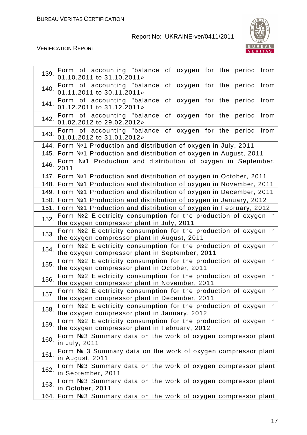

| 139. | Form of accounting "balance of oxygen for the period from<br>01.10.2011 to 31.10.2011»                             |
|------|--------------------------------------------------------------------------------------------------------------------|
| 140. | Form of accounting "balance of oxygen for the period from<br>01.11.2011 to 30.11.2011»                             |
| 141. | Form of accounting "balance of oxygen for the period from<br>01.12.2011 to 31.12.2011»                             |
| 142. | Form of accounting "balance of oxygen for the period from<br>01.02.2012 to 29.02.2012»                             |
| 143. | Form of accounting "balance of oxygen for the period from<br>01.01.2012 to 31.01.2012»                             |
| 144. | Form №1 Production and distribution of oxygen in July, 2011                                                        |
| 145. | Form №1 Production and distribution of oxygen in August, 2011                                                      |
| 146. | Form №1 Production and distribution of oxygen in September,<br>2011                                                |
| 147. | Form №1 Production and distribution of oxygen in October, 2011                                                     |
| 148. | Form №1 Production and distribution of oxygen in November, 2011                                                    |
| 149. | Form №1 Production and distribution of oxygen in December, 2011                                                    |
| 150. | Form №1 Production and distribution of oxygen in January, 2012                                                     |
| 151. | Form №1 Production and distribution of oxygen in February, 2012                                                    |
| 152. | Form Nº2 Electricity consumption for the production of oxygen in                                                   |
|      | the oxygen compressor plant in July, 2011                                                                          |
| 153. | Form Nº2 Electricity consumption for the production of oxygen in<br>the oxygen compressor plant in August, 2011    |
| 154. | Form Nº2 Electricity consumption for the production of oxygen in<br>the oxygen compressor plant in September, 2011 |
| 155. | Form Nº2 Electricity consumption for the production of oxygen in<br>the oxygen compressor plant in October, 2011   |
| 156. | Form Nº2 Electricity consumption for the production of oxygen in<br>the oxygen compressor plant in November, 2011  |
| 157  | Form Nº2 Electricity consumption for the production of oxygen in<br>the oxygen compressor plant in December, 2011  |
| 158. | Form Nº2 Electricity consumption for the production of oxygen in<br>the oxygen compressor plant in January, 2012   |
| 159. | Form Nº2 Electricity consumption for the production of oxygen in<br>the oxygen compressor plant in February, 2012  |
| 160. | Form Nº3 Summary data on the work of oxygen compressor plant<br>in July, 2011                                      |
| 161. | Form Nº 3 Summary data on the work of oxygen compressor plant<br>in August, 2011                                   |
| 162. | Form Nº3 Summary data on the work of oxygen compressor plant<br>in September, 2011                                 |
| 163. | Form Nº3 Summary data on the work of oxygen compressor plant<br>in October, 2011                                   |
| 164. | Form Nº3 Summary data on the work of oxygen compressor plant                                                       |
|      |                                                                                                                    |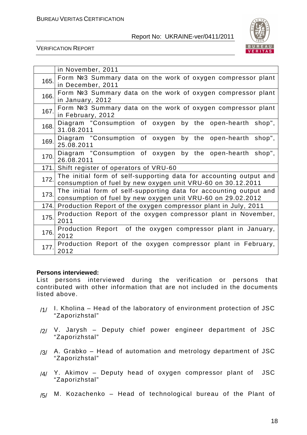

VERIFICATION REPORT

|      | in November, 2011                                                                                                                 |
|------|-----------------------------------------------------------------------------------------------------------------------------------|
| 165. | Form Nº3 Summary data on the work of oxygen compressor plant<br>in December, 2011                                                 |
| 166. | Form Nº3 Summary data on the work of oxygen compressor plant<br>in January, 2012                                                  |
| 167. | Form Nº3 Summary data on the work of oxygen compressor plant<br>in February, 2012                                                 |
| 168. | Diagram "Consumption of oxygen by the open-hearth shop",<br>31.08.2011                                                            |
| 169. | Diagram "Consumption of oxygen by the open-hearth shop",<br>25.08.2011                                                            |
| 170. | Diagram "Consumption of oxygen by the open-hearth shop",<br>26.08.2011                                                            |
| 171. | Shift register of operators of VRU-60                                                                                             |
| 172. | The initial form of self-supporting data for accounting output and<br>consumption of fuel by new oxygen unit VRU-60 on 30.12.2011 |
| 173. | The initial form of self-supporting data for accounting output and<br>consumption of fuel by new oxygen unit VRU-60 on 29.02.2012 |
|      | 174. Production Report of the oxygen compressor plant in July, 2011                                                               |
| 175. | Production Report of the oxygen compressor plant in November,<br>2011                                                             |
| 176. | Production Report of the oxygen compressor plant in January,<br>2012                                                              |
| 177. | Production Report of the oxygen compressor plant in February,<br>2012                                                             |

#### **Persons interviewed:**

List persons interviewed during the verification or persons that contributed with other information that are not included in the documents listed above.

- $/1/$  I. Kholina Head of the laboratory of environment protection of JSC "Zaporizhstal"
- /2/ V. Jarysh Deputy chief power engineer department of JSC "Zaporizhstal"
- $/3/$  A. Grabko Head of automation and metrology department of JSC "Zaporizhstal"
- /4/ Y. Akimov Deputy head of oxygen compressor plant of JSC "Zaporizhstal"
- $/5/$  M. Kozachenko Head of technological bureau of the Plant of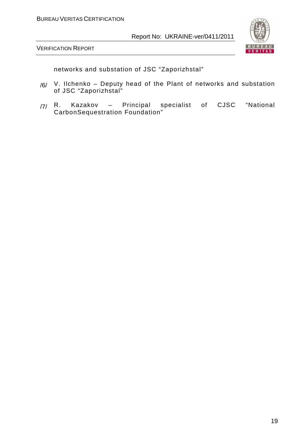

VERIFICATION REPORT

networks and substation of JSC "Zaporizhstal"

- /6/ V. Ilchenko Deputy head of the Plant of networks and substation of JSC "Zaporizhstal"
- /7/ R. Kazakov Principal specialist of CJSC "National CarbonSequestration Foundation"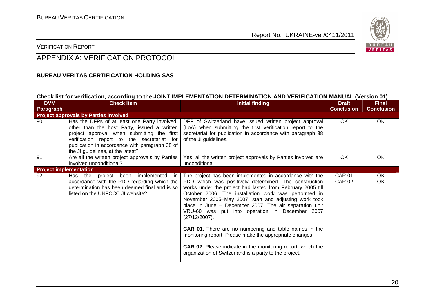

#### VERIFICATION REPORT

# APPENDIX A: VERIFICATION PROTOCOL

#### **BUREAU VERITAS CERTIFICATION HOLDING SAS**

#### **Check list for verification, according to the JOINT IMPLEMENTATION DETERMINATION AND VERIFICATION MANUAL (Version 01)**

| <b>DVM</b><br>Paragraph                      | <b>Check Item</b>                                                                                                                                                                                                                                                              | <b>Initial finding</b>                                                                                                                                                                                                                                                                                                                                                                                                                                                                                                                                  | <b>Draft</b><br><b>Conclusion</b> | <b>Final</b><br><b>Conclusion</b> |
|----------------------------------------------|--------------------------------------------------------------------------------------------------------------------------------------------------------------------------------------------------------------------------------------------------------------------------------|---------------------------------------------------------------------------------------------------------------------------------------------------------------------------------------------------------------------------------------------------------------------------------------------------------------------------------------------------------------------------------------------------------------------------------------------------------------------------------------------------------------------------------------------------------|-----------------------------------|-----------------------------------|
| <b>Project approvals by Parties involved</b> |                                                                                                                                                                                                                                                                                |                                                                                                                                                                                                                                                                                                                                                                                                                                                                                                                                                         |                                   |                                   |
| 90                                           | Has the DFPs of at least one Party involved,<br>other than the host Party, issued a written<br>project approval when submitting the first<br>verification report to the secretariat for<br>publication in accordance with paragraph 38 of<br>the JI guidelines, at the latest? | DFP of Switzerland have issued written project approval<br>(LoA) when submitting the first verification report to the<br>secretariat for publication in accordance with paragraph 38<br>of the JI guidelines.                                                                                                                                                                                                                                                                                                                                           | OK                                | OK                                |
| 91                                           | Are all the written project approvals by Parties<br>involved unconditional?                                                                                                                                                                                                    | Yes, all the written project approvals by Parties involved are<br>unconditional.                                                                                                                                                                                                                                                                                                                                                                                                                                                                        | <b>OK</b>                         | <b>OK</b>                         |
| <b>Project implementation</b>                |                                                                                                                                                                                                                                                                                |                                                                                                                                                                                                                                                                                                                                                                                                                                                                                                                                                         |                                   |                                   |
| 92                                           | Has the project been implemented in<br>accordance with the PDD regarding which the<br>determination has been deemed final and is so<br>listed on the UNFCCC JI website?                                                                                                        | The project has been implemented in accordance with the<br>PDD which was positively determined. The construction<br>works under the project had lasted from February 2005 till<br>October 2006. The installation work was performed in<br>November 2005-May 2007; start and adjusting work took<br>place in June - December 2007. The air separation unit<br>VRU-60 was put into operation in December 2007<br>(27/12/2007).<br><b>CAR 01.</b> There are no numbering and table names in the<br>monitoring report. Please make the appropriate changes. | <b>CAR 01</b><br><b>CAR 02</b>    | OK<br>OK                          |
|                                              |                                                                                                                                                                                                                                                                                | <b>CAR 02.</b> Please indicate in the monitoring report, which the<br>organization of Switzerland is a party to the project.                                                                                                                                                                                                                                                                                                                                                                                                                            |                                   |                                   |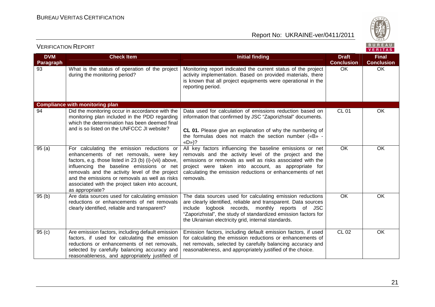

| <b>DVM</b><br><b>Paragraph</b> | <b>Check Item</b>                                                                                                                                                                                                                                                                                                                                                    | <b>Initial finding</b>                                                                                                                                                                                                                                                                                              | <b>Draft</b><br><b>Conclusion</b> | <b>Final</b><br><b>Conclusion</b> |
|--------------------------------|----------------------------------------------------------------------------------------------------------------------------------------------------------------------------------------------------------------------------------------------------------------------------------------------------------------------------------------------------------------------|---------------------------------------------------------------------------------------------------------------------------------------------------------------------------------------------------------------------------------------------------------------------------------------------------------------------|-----------------------------------|-----------------------------------|
| 93                             | What is the status of operation of the project<br>during the monitoring period?                                                                                                                                                                                                                                                                                      | Monitoring report indicated the current status of the project<br>activity implementation. Based on provided materials, there<br>is known that all project equipments were operational in the<br>reporting period.                                                                                                   | OK.                               | OK                                |
|                                | <b>Compliance with monitoring plan</b>                                                                                                                                                                                                                                                                                                                               |                                                                                                                                                                                                                                                                                                                     |                                   |                                   |
| 94                             | Did the monitoring occur in accordance with the<br>monitoring plan included in the PDD regarding<br>which the determination has been deemed final<br>and is so listed on the UNFCCC JI website?                                                                                                                                                                      | Data used for calculation of emissions reduction based on<br>information that confirmed by JSC "Zaporizhstal" documents.<br>CL 01. Please give an explanation of why the numbering of<br>the formulas does not match the section number («B» -<br>$\langle \mathsf{D} \rangle$ ?                                    | <b>CL 01</b>                      | <b>OK</b>                         |
| 95(a)                          | For calculating the emission reductions or<br>enhancements of net removals, were key<br>factors, e.g. those listed in 23 (b) (i)-(vii) above,<br>influencing the baseline emissions or net<br>removals and the activity level of the project<br>and the emissions or removals as well as risks<br>associated with the project taken into account,<br>as appropriate? | All key factors influencing the baseline emissions or net<br>removals and the activity level of the project and the<br>emissions or removals as well as risks associated with the<br>project were taken into account, as appropriate for<br>calculating the emission reductions or enhancements of net<br>removals. | <b>OK</b>                         | <b>OK</b>                         |
| 95(b)                          | Are data sources used for calculating emission<br>reductions or enhancements of net removals<br>clearly identified, reliable and transparent?                                                                                                                                                                                                                        | The data sources used for calculating emission reductions<br>are clearly identified, reliable and transparent. Data sources<br>include logbook records, monthly reports of JSC<br>"Zaporizhstal", the study of standardized emission factors for<br>the Ukrainian electricity grid, internal standards.             | OK                                | OK                                |
| 95(c)                          | Are emission factors, including default emission<br>factors, if used for calculating the emission<br>reductions or enhancements of net removals,<br>selected by carefully balancing accuracy and<br>reasonableness, and appropriately justified of                                                                                                                   | Emission factors, including default emission factors, if used<br>for calculating the emission reductions or enhancements of<br>net removals, selected by carefully balancing accuracy and<br>reasonableness, and appropriately justified of the choice.                                                             | CL 02                             | <b>OK</b>                         |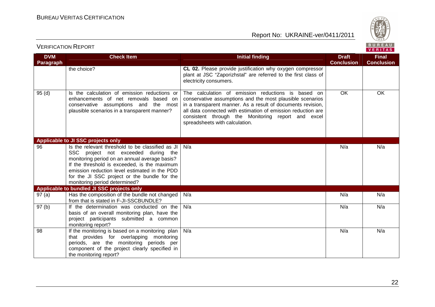

| <b>VERIFICATION REPORT</b> |  |
|----------------------------|--|
|----------------------------|--|

| <b>DVM</b> | <b>Check Item</b>                                                                                                                                                                                                                                                                                                          | <b>Initial finding</b>                                                                                                                                                                                                                                                                                                                 | <b>Draft</b>      | <b>Final</b>      |
|------------|----------------------------------------------------------------------------------------------------------------------------------------------------------------------------------------------------------------------------------------------------------------------------------------------------------------------------|----------------------------------------------------------------------------------------------------------------------------------------------------------------------------------------------------------------------------------------------------------------------------------------------------------------------------------------|-------------------|-------------------|
| Paragraph  | the choice?                                                                                                                                                                                                                                                                                                                | CL 02. Please provide justification why oxygen compressor<br>plant at JSC "Zaporizhstal" are referred to the first class of<br>electricity consumers.                                                                                                                                                                                  | <b>Conclusion</b> | <b>Conclusion</b> |
| 95(d)      | Is the calculation of emission reductions or<br>enhancements of net removals based on<br>conservative assumptions and the most<br>plausible scenarios in a transparent manner?                                                                                                                                             | The calculation of emission reductions is based on<br>conservative assumptions and the most plausible scenarios<br>in a transparent manner. As a result of documents revision,<br>all data connected with estimation of emission reduction are<br>consistent through the Monitoring report and excel<br>spreadsheets with calculation. | <b>OK</b>         | OK                |
|            | Applicable to JI SSC projects only                                                                                                                                                                                                                                                                                         |                                                                                                                                                                                                                                                                                                                                        |                   |                   |
| 96         | Is the relevant threshold to be classified as JI<br>SSC project not exceeded during the<br>monitoring period on an annual average basis?<br>If the threshold is exceeded, is the maximum<br>emission reduction level estimated in the PDD<br>for the JI SSC project or the bundle for the<br>monitoring period determined? | N/a                                                                                                                                                                                                                                                                                                                                    | N/a               | N/a               |
|            | Applicable to bundled JI SSC projects only                                                                                                                                                                                                                                                                                 |                                                                                                                                                                                                                                                                                                                                        |                   |                   |
| 97(a)      | Has the composition of the bundle not changed<br>from that is stated in F-JI-SSCBUNDLE?                                                                                                                                                                                                                                    | N/a                                                                                                                                                                                                                                                                                                                                    | N/a               | N/a               |
| 97(b)      | If the determination was conducted on the<br>basis of an overall monitoring plan, have the<br>project participants submitted a common<br>monitoring report?                                                                                                                                                                | N/a                                                                                                                                                                                                                                                                                                                                    | N/a               | N/a               |
| 98         | If the monitoring is based on a monitoring plan<br>that provides for overlapping monitoring<br>periods, are the monitoring periods per<br>component of the project clearly specified in<br>the monitoring report?                                                                                                          | N/a                                                                                                                                                                                                                                                                                                                                    | N/a               | N/a               |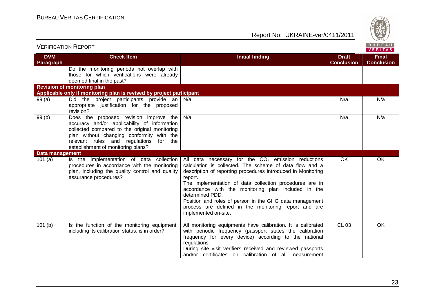

| TERITIONI IUTIO INTELIOINI |                                                                                                                                                                                                                                                                      |                                                                                                                                                                                                                                                                                                                                                                                                                                                                            |                                   | <b>VERITAS</b>                    |
|----------------------------|----------------------------------------------------------------------------------------------------------------------------------------------------------------------------------------------------------------------------------------------------------------------|----------------------------------------------------------------------------------------------------------------------------------------------------------------------------------------------------------------------------------------------------------------------------------------------------------------------------------------------------------------------------------------------------------------------------------------------------------------------------|-----------------------------------|-----------------------------------|
| <b>DVM</b><br>Paragraph    | <b>Check Item</b>                                                                                                                                                                                                                                                    | <b>Initial finding</b>                                                                                                                                                                                                                                                                                                                                                                                                                                                     | <b>Draft</b><br><b>Conclusion</b> | <b>Final</b><br><b>Conclusion</b> |
|                            | Do the monitoring periods not overlap with<br>those for which verifications were already<br>deemed final in the past?                                                                                                                                                |                                                                                                                                                                                                                                                                                                                                                                                                                                                                            |                                   |                                   |
|                            | <b>Revision of monitoring plan</b>                                                                                                                                                                                                                                   |                                                                                                                                                                                                                                                                                                                                                                                                                                                                            |                                   |                                   |
|                            | Applicable only if monitoring plan is revised by project participant                                                                                                                                                                                                 |                                                                                                                                                                                                                                                                                                                                                                                                                                                                            |                                   |                                   |
| 99(a)                      | Did the project participants provide an<br>appropriate justification for the proposed<br>revision?                                                                                                                                                                   | N/a                                                                                                                                                                                                                                                                                                                                                                                                                                                                        | N/a                               | N/a                               |
| 99(b)                      | Does the proposed revision improve the<br>accuracy and/or applicability of information<br>collected compared to the original monitoring<br>plan without changing conformity with the<br>relevant rules and regulations for the<br>establishment of monitoring plans? | N/a                                                                                                                                                                                                                                                                                                                                                                                                                                                                        | N/a                               | N/a                               |
| Data management            |                                                                                                                                                                                                                                                                      |                                                                                                                                                                                                                                                                                                                                                                                                                                                                            |                                   |                                   |
| 101(a)                     | Is the implementation of data collection<br>procedures in accordance with the monitoring<br>plan, including the quality control and quality<br>assurance procedures?                                                                                                 | All data necessary for the $CO2$ emission reductions<br>calculation is collected. The scheme of data flow and a<br>description of reporting procedures introduced in Monitoring<br>report.<br>The implementation of data collection procedures are in<br>accordance with the monitoring plan included in the<br>determined PDD.<br>Position and roles of person in the GHG data management<br>process are defined in the monitoring report and are<br>implemented on-site. | OK                                | OK                                |
| 101(b)                     | Is the function of the monitoring equipment,<br>including its calibration status, is in order?                                                                                                                                                                       | All monitoring equipments have calibration. It is calibrated<br>with periodic frequency (passport states the calibration<br>frequency for every device) according to the national<br>regulations.<br>During site visit verifiers received and reviewed passports<br>and/or certificates on calibration of all measurement                                                                                                                                                  | <b>CL 03</b>                      | OK.                               |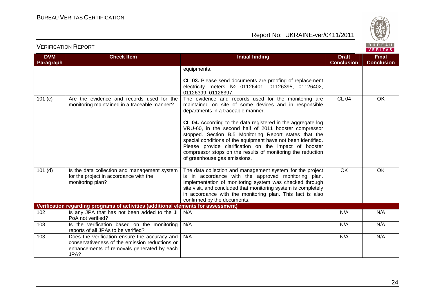

| <b>DVM</b> | <b>Check Item</b>                                                                                                                                     | <b>Initial finding</b>                                                                                                                                                                                                                                                                                                                                                                                                                                                                                                                                          | <b>Draft</b>      | <b>Final</b>      |
|------------|-------------------------------------------------------------------------------------------------------------------------------------------------------|-----------------------------------------------------------------------------------------------------------------------------------------------------------------------------------------------------------------------------------------------------------------------------------------------------------------------------------------------------------------------------------------------------------------------------------------------------------------------------------------------------------------------------------------------------------------|-------------------|-------------------|
| Paragraph  |                                                                                                                                                       |                                                                                                                                                                                                                                                                                                                                                                                                                                                                                                                                                                 | <b>Conclusion</b> | <b>Conclusion</b> |
|            |                                                                                                                                                       | equipments.<br>CL 03. Please send documents are proofing of replacement<br>electricity meters Nº 01126401, 01126395, 01126402,<br>01126399, 01126397.                                                                                                                                                                                                                                                                                                                                                                                                           |                   |                   |
| 101(c)     | Are the evidence and records used for the<br>monitoring maintained in a traceable manner?                                                             | The evidence and records used for the monitoring are<br>maintained on site of some devices and in responsible<br>departments in a traceable manner.<br>CL 04. According to the data registered in the aggregate log<br>VRU-60, in the second half of 2011 booster compressor<br>stopped. Section B.5 Monitoring Report states that the<br>special conditions of the equipment have not been identified.<br>Please provide clarification on the impact of booster<br>compressor stops on the results of monitoring the reduction<br>of greenhouse gas emissions. | CL 04             | OK                |
| $101$ (d)  | Is the data collection and management system<br>for the project in accordance with the<br>monitoring plan?                                            | The data collection and management system for the project<br>is in accordance with the approved monitoring plan.<br>Implementation of monitoring system was checked through<br>site visit, and concluded that monitoring system is completely<br>in accordance with the monitoring plan. This fact is also<br>confirmed by the documents.                                                                                                                                                                                                                       | OK                | OK                |
|            | Verification regarding programs of activities (additional elements for assessment)                                                                    |                                                                                                                                                                                                                                                                                                                                                                                                                                                                                                                                                                 |                   |                   |
| 102        | Is any JPA that has not been added to the JI<br>PoA not verified?                                                                                     | N/A                                                                                                                                                                                                                                                                                                                                                                                                                                                                                                                                                             | N/A               | N/A               |
| 103        | Is the verification based on the monitoring<br>reports of all JPAs to be verified?                                                                    | N/A                                                                                                                                                                                                                                                                                                                                                                                                                                                                                                                                                             | N/A               | N/A               |
| 103        | Does the verification ensure the accuracy and<br>conservativeness of the emission reductions or<br>enhancements of removals generated by each<br>JPA? | N/A                                                                                                                                                                                                                                                                                                                                                                                                                                                                                                                                                             | N/A               | N/A               |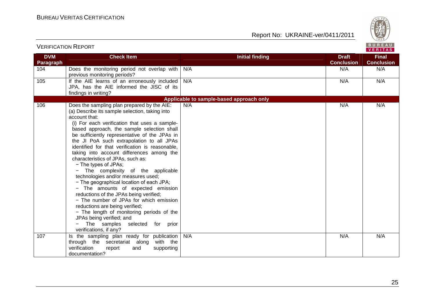

| <b>DVM</b><br><b>Paragraph</b> | <b>Check Item</b>                                                                                                                                                                                                                                                                                                                                                                                                                                                                                                                                                                                                                                                                                                                                                                                                                                                                                  | <b>Initial finding</b>                   | <b>Draft</b><br><b>Conclusion</b> | <b>Final</b><br><b>Conclusion</b> |
|--------------------------------|----------------------------------------------------------------------------------------------------------------------------------------------------------------------------------------------------------------------------------------------------------------------------------------------------------------------------------------------------------------------------------------------------------------------------------------------------------------------------------------------------------------------------------------------------------------------------------------------------------------------------------------------------------------------------------------------------------------------------------------------------------------------------------------------------------------------------------------------------------------------------------------------------|------------------------------------------|-----------------------------------|-----------------------------------|
| 104                            | Does the monitoring period not overlap with<br>previous monitoring periods?                                                                                                                                                                                                                                                                                                                                                                                                                                                                                                                                                                                                                                                                                                                                                                                                                        | N/A                                      | N/A                               | N/A                               |
| 105                            | If the AIE learns of an erroneously included<br>JPA, has the AIE informed the JISC of its<br>findings in writing?                                                                                                                                                                                                                                                                                                                                                                                                                                                                                                                                                                                                                                                                                                                                                                                  | N/A                                      | N/A                               | N/A                               |
|                                |                                                                                                                                                                                                                                                                                                                                                                                                                                                                                                                                                                                                                                                                                                                                                                                                                                                                                                    | Applicable to sample-based approach only |                                   |                                   |
| 106                            | Does the sampling plan prepared by the AIE:<br>(a) Describe its sample selection, taking into<br>account that:<br>(i) For each verification that uses a sample-<br>based approach, the sample selection shall<br>be sufficiently representative of the JPAs in<br>the JI PoA such extrapolation to all JPAs<br>identified for that verification is reasonable,<br>taking into account differences among the<br>characteristics of JPAs, such as:<br>- The types of JPAs;<br>- The complexity of the applicable<br>technologies and/or measures used;<br>- The geographical location of each JPA;<br>- The amounts of expected emission<br>reductions of the JPAs being verified;<br>- The number of JPAs for which emission<br>reductions are being verified;<br>- The length of monitoring periods of the<br>JPAs being verified; and<br>The samples selected for prior<br>verifications, if any? | N/A                                      | N/A                               | N/A                               |
| 107                            |                                                                                                                                                                                                                                                                                                                                                                                                                                                                                                                                                                                                                                                                                                                                                                                                                                                                                                    | N/A                                      | N/A                               | N/A                               |
|                                | Is the sampling plan ready for publication<br>through the secretariat along with the<br>verification<br>report<br>and<br>supporting<br>documentation?                                                                                                                                                                                                                                                                                                                                                                                                                                                                                                                                                                                                                                                                                                                                              |                                          |                                   |                                   |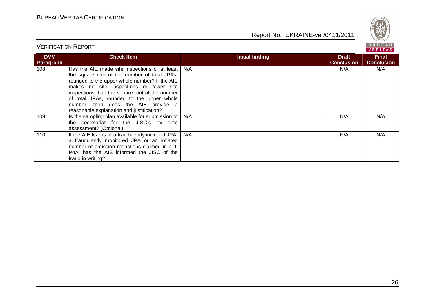VERIFICATION REPORT

Report No: UKRAINE-ver/0411/2011



#### BUREAU<br><mark>VERITAS</mark> **DVM Check Item Initial finding Check Item Initial finding Check Item Initial finding Initial finding Initial finding Final Paragraph Conclusion Conclusion** 108 Has the AIE made site inspections of at least N/A N/A N/A N/A the square root of the number of total JPAs, rounded to the upper whole number? If the AIE makes no site inspections or fewer site inspections than the square root of the number of total JPAs, rounded to the upper whole number, then does the AIE provide a reasonable explanation and justification? 109 | Is the sampling plan available for submission to N/A N/A N/A the secretariat for the JISC.s ex ante assessment? (Optional) 110 | If the AIE learns of a fraudulently included JPA, N/A N/A N/A a fraudulently monitored JPA or an inflated number of emission reductions claimed in a JI PoA, has the AIE informed the JISC of the fraud in writing?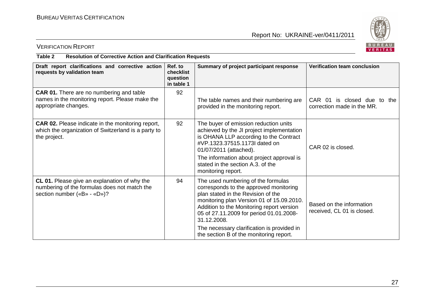

# VERIFICATION REPORT

#### **Table 2 Resolution of Corrective Action and Clarification Requests**

| Draft report clarifications and corrective action<br>requests by validation team                                                | Ref. to<br>checklist<br>question<br>in table 1 | Summary of project participant response                                                                                                                                                                                                                                   | Verification team conclusion                              |
|---------------------------------------------------------------------------------------------------------------------------------|------------------------------------------------|---------------------------------------------------------------------------------------------------------------------------------------------------------------------------------------------------------------------------------------------------------------------------|-----------------------------------------------------------|
| <b>CAR 01.</b> There are no numbering and table<br>names in the monitoring report. Please make the<br>appropriate changes.      | 92                                             | The table names and their numbering are<br>provided in the monitoring report.                                                                                                                                                                                             | CAR 01 is closed due to the<br>correction made in the MR. |
| <b>CAR 02.</b> Please indicate in the monitoring report,<br>which the organization of Switzerland is a party to<br>the project. | 92                                             | The buyer of emission reduction units<br>achieved by the JI project implementation<br>is OHANA LLP according to the Contract<br>#VP.1323.37515.1173l dated on<br>01/07/2011 (attached).<br>The information about project approval is<br>stated in the section A.3, of the | CAR 02 is closed.                                         |
|                                                                                                                                 |                                                | monitoring report.                                                                                                                                                                                                                                                        |                                                           |
| CL 01. Please give an explanation of why the<br>numbering of the formulas does not match the<br>section number («B» - «D»)?     | 94                                             | The used numbering of the formulas<br>corresponds to the approved monitoring<br>plan stated in the Revision of the<br>monitoring plan Version 01 of 15.09.2010.<br>Addition to the Monitoring report version<br>05 of 27.11.2009 for period 01.01.2008-<br>31.12.2008.    | Based on the information<br>received, CL 01 is closed.    |
|                                                                                                                                 |                                                | The necessary clarification is provided in<br>the section B of the monitoring report.                                                                                                                                                                                     |                                                           |